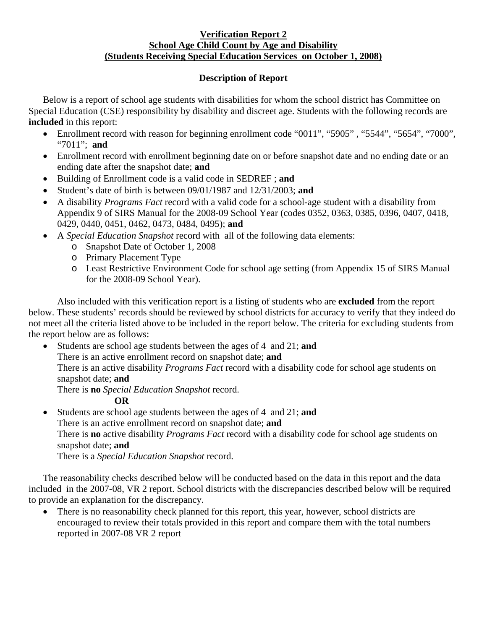## **Verification Report 2 School Age Child Count by Age and Disability (Students Receiving Special Education Services on October 1, 2008)**

## **Description of Report**

Below is a report of school age students with disabilities for whom the school district has Committee on Special Education (CSE) responsibility by disability and discreet age. Students with the following records are **included** in this report:

- Enrollment record with reason for beginning enrollment code "0011", "5905", "5544", "5654", "7000", "7011"; **and**
- Enrollment record with enrollment beginning date on or before snapshot date and no ending date or an ending date after the snapshot date; **and**
- Building of Enrollment code is a valid code in SEDREF ; **and**
- Student's date of birth is between 09/01/1987 and 12/31/2003; **and**
- A disability *Programs Fact* record with a valid code for a school-age student with a disability from Appendix 9 of SIRS Manual for the 2008-09 School Year (codes 0352, 0363, 0385, 0396, 0407, 0418, 0429, 0440, 0451, 0462, 0473, 0484, 0495); **and**
- A *Special Education Snapshot* record with all of the following data elements:
	- o Snapshot Date of October 1, 2008
	- o Primary Placement Type
	- o Least Restrictive Environment Code for school age setting (from Appendix 15 of SIRS Manual for the 2008-09 School Year).

Also included with this verification report is a listing of students who are **excluded** from the report below. These students' records should be reviewed by school districts for accuracy to verify that they indeed do not meet all the criteria listed above to be included in the report below. The criteria for excluding students from the report below are as follows:

• Students are school age students between the ages of 4 and 21; **and** 

There is an active enrollment record on snapshot date; **and**

There is an active disability *Programs Fact* record with a disability code for school age students on snapshot date; **and** 

There is **no** *Special Education Snapshot* record.

## **OR**

• Students are school age students between the ages of 4 and 21; **and** There is an active enrollment record on snapshot date; **and** There is **no** active disability *Programs Fact* record with a disability code for school age students on snapshot date; **and**  There is a *Special Education Snapshot* record.

The reasonability checks described below will be conducted based on the data in this report and the data included in the 2007-08, VR 2 report. School districts with the discrepancies described below will be required to provide an explanation for the discrepancy.

There is no reasonability check planned for this report, this year, however, school districts are encouraged to review their totals provided in this report and compare them with the total numbers reported in 2007-08 VR 2 report